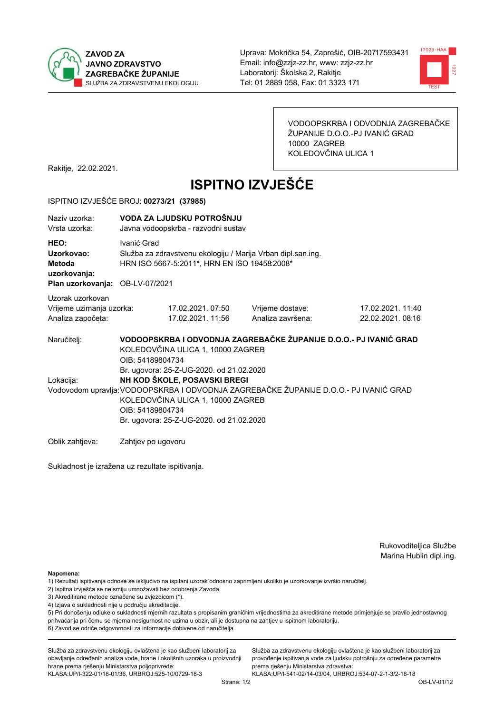



VODOOPSKRBA I ODVODNJA ZAGREBAČKE ŽUPANIJE D.O.O.-PJ IVANIĆ GRAD 10000 ZAGREB KOLEDOVČINA ULICA 1

Rakitje, 22.02.2021.

# **ISPITNO IZVJEŠĆE**

#### ISPITNO IZVJEŠĆE BROJ: 00273/21 (37985)

| Naziv uzorka:<br>Vrsta uzorka:                                                  | VODA ZA LJUDSKU POTROŠNJU<br>Javna vodoopskrba - razvodni sustav                                                                                                                                                                                                       |                                       |                                                                   |                                       |  |
|---------------------------------------------------------------------------------|------------------------------------------------------------------------------------------------------------------------------------------------------------------------------------------------------------------------------------------------------------------------|---------------------------------------|-------------------------------------------------------------------|---------------------------------------|--|
| HEO:<br>Uzorkovao:<br>Metoda<br>uzorkovanja:<br>Plan uzorkovanja: OB-LV-07/2021 | Ivanić Grad<br>Služba za zdravstvenu ekologiju / Marija Vrban dipl.san.ing.<br>HRN ISO 5667-5:2011*, HRN EN ISO 19458:2008*                                                                                                                                            |                                       |                                                                   |                                       |  |
| Uzorak uzorkovan<br>Vrijeme uzimanja uzorka:<br>Analiza započeta:               |                                                                                                                                                                                                                                                                        | 17.02.2021.07:50<br>17.02.2021. 11:56 | Vrijeme dostave:<br>Analiza završena:                             | 17.02.2021. 11:40<br>22.02.2021.08:16 |  |
| Naručitelj:                                                                     | KOLEDOVČINA ULICA 1, 10000 ZAGREB<br>OIB: 54189804734                                                                                                                                                                                                                  |                                       | VODOOPSKRBA I ODVODNJA ZAGREBAČKE ŽUPANIJE D.O.O.- PJ IVANIĆ GRAD |                                       |  |
| Lokacija:                                                                       | Br. ugovora: 25-Z-UG-2020. od 21.02.2020<br>NH KOD ŠKOLE, POSAVSKI BREGI<br>Vodovodom upravlja: VODOOPSKRBA I ODVODNJA ZAGREBAČKE ŽUPANIJE D.O.O.- PJ IVANIĆ GRAD<br>KOLEDOVČINA ULICA 1, 10000 ZAGREB<br>OIB: 54189804734<br>Br. ugovora: 25-Z-UG-2020. od 21.02.2020 |                                       |                                                                   |                                       |  |
| Oblik zahtieva:                                                                 | Zahtjev po ugovoru                                                                                                                                                                                                                                                     |                                       |                                                                   |                                       |  |

Sukladnost je izražena uz rezultate ispitivanja.

Rukovoditeljica Službe Marina Hublin dipl.ing.

Napomena:

- 2) Ispitna izvješća se ne smiju umnožavati bez odobrenja Zavoda.
- 3) Akreditirane metode označene su zvjezdicom (\*).
- 4) Izjava o sukladnosti nije u području akreditacije.

5) Pri donošenju odluke o sukladnosti mjernih razultata s propisanim graničnim vrijednostima za akreditirane metode primjenjuje se pravilo jednostavnog prihvaćanja pri čemu se mjerna nesigurnost ne uzima u obzir, ali je dostupna na zahtjev u ispitnom laboratoriju.

6) Zavod se odriče odgovornosti za informacije dobivene od naručitelja

Služba za zdravstvenu ekologiju ovlaštena je kao službeni laboratorij za obavljanje određenih analiza vode, hrane i okolišnih uzoraka u proizvodnji hrane prema rješenju Ministarstva poljoprivrede:

KLASA.UP/I-322-01/18-01/36, URBROJ.525-10/0729-18-3

Služba za zdravstvenu ekologiju ovlaštena je kao službeni laboratorij za provođenje ispitivanja vode za ljudsku potrošnju za određene parametre prema riešenju Ministarstva zdravstva:

<sup>1)</sup> Rezultati ispitivanja odnose se isključivo na ispitani uzorak odnosno zaprimljeni ukoliko je uzorkovanje izvršio naručiteli.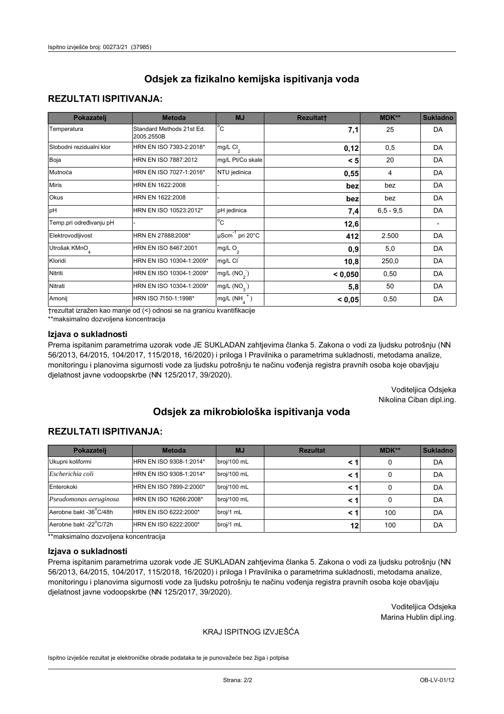### **REZULTATI ISPITIVANJA:**

| Pokazatelj                | <b>Metoda</b>                           | <b>MJ</b>                        | <b>Rezultatt</b> | MDK**       | <b>Sukladno</b> |
|---------------------------|-----------------------------------------|----------------------------------|------------------|-------------|-----------------|
| Temperatura               | Standard Methods 21st Ed.<br>2005.2550B | $^{\circ}$ C                     | 7,1              | 25          | DA              |
| Slobodni rezidualni klor  | HRN EN ISO 7393-2:2018*                 | mg/L $Cl2$                       | 0,12             | 0,5         | DA              |
| Boja                      | HRN EN ISO 7887:2012                    | mg/L Pt/Co skale                 | < 5              | 20          | DA              |
| Mutnoća                   | HRN EN ISO 7027-1:2016*                 | NTU jedinica                     | 0,55             | 4           | DA              |
| <b>Miris</b>              | HRN EN 1622:2008                        |                                  | bez              | bez         | DA              |
| Okus                      | HRN EN 1622:2008                        |                                  | bez              | bez         | DA              |
| pH                        | HRN EN ISO 10523:2012*                  | pH jedinica                      | 7,4              | $6,5 - 9,5$ | DA              |
| Temp.pri određivanju pH   |                                         | $\overline{c}$                   | 12,6             |             |                 |
| Elektrovodljivost         | HRN EN 27888:2008*                      | $\mu$ Scm <sup>-1</sup> pri 20°C | 412              | 2.500       | DA              |
| Utrošak KMnO <sub>4</sub> | HRN EN ISO 8467:2001                    | mg/L O <sub>2</sub>              | 0,9              | 5,0         | DA              |
| Kloridi                   | HRN EN ISO 10304-1:2009*                | mg/L CI                          | 10,8             | 250,0       | DA              |
| Nitriti                   | HRN EN ISO 10304-1:2009*                | mg/L $(NO2)$                     | < 0,050          | 0,50        | DA              |
| Nitrati                   | HRN EN ISO 10304-1:2009*                | mg/L (NO <sub>3</sub> )          | 5,8              | 50          | DA              |
| Amonij                    | HRN ISO 7150-1:1998*                    | $mg/L(NH_A^+)$                   | < 0,05           | 0,50        | DA              |

trezultat izražen kao manje od (<) odnosi se na granicu kvantifikacije

\*\*maksimalno dozvoljena koncentracija

#### Izjava o sukladnosti

Prema ispitanim parametrima uzorak vode JE SUKLADAN zahtjevima članka 5. Zakona o vodi za ljudsku potrošnju (NN 56/2013, 64/2015, 104/2017, 115/2018, 16/2020) i priloga I Pravilnika o parametrima sukladnosti, metodama analize, monitoringu i planovima sigurnosti vode za ljudsku potrošnju te načinu vođenja registra pravnih osoba koje obavljaju djelatnost javne vodoopskrbe (NN 125/2017, 39/2020).

> Voditeljica Odsjeka Nikolina Ciban dipl.ing.

# Odsiek za mikrobiološka ispitivanja voda

### **REZULTATI ISPITIVANJA:**

| Pokazatelj             | <b>Metoda</b>           | <b>MJ</b>   | <b>Rezultat</b> | MDK** | <b>Sukladno</b> |
|------------------------|-------------------------|-------------|-----------------|-------|-----------------|
| Ukupni koliformi       | HRN EN ISO 9308-1:2014* | broj/100 mL |                 | 0     | DA              |
| Escherichia coli       | HRN EN ISO 9308-1:2014* | broj/100 mL | < 1             | 0     | DA              |
| Enterokoki             | HRN EN ISO 7899-2:2000* | broj/100 mL | < 1             | 0     | DA              |
| Pseudomonas aeruginosa | HRN EN ISO 16266:2008*  | broj/100 mL | < 1             | 0     | DA              |
| Aerobne bakt -36°C/48h | HRN EN ISO 6222:2000*   | broj/1 mL   |                 | 100   | DA              |
| Aerobne bakt -22°C/72h | HRN EN ISO 6222:2000*   | broj/1 mL   | 12              | 100   | DA              |

\*\*maksimalno dozvoljena koncentracija

#### Izjava o sukladnosti

Prema ispitanim parametrima uzorak vode JE SUKLADAN zahtjevima članka 5. Zakona o vodi za ljudsku potrošnju (NN 56/2013, 64/2015, 104/2017, 115/2018, 16/2020) i priloga I Pravilnika o parametrima sukladnosti, metodama analize, monitoringu i planovima sigurnosti vode za ljudsku potrošnju te načinu vođenja registra pravnih osoba koje obavljaju djelatnost javne vodoopskrbe (NN 125/2017, 39/2020).

> Voditeljica Odsjeka Marina Hublin dipl.ing.

#### KRAJ ISPITNOG IZVJEŠĆA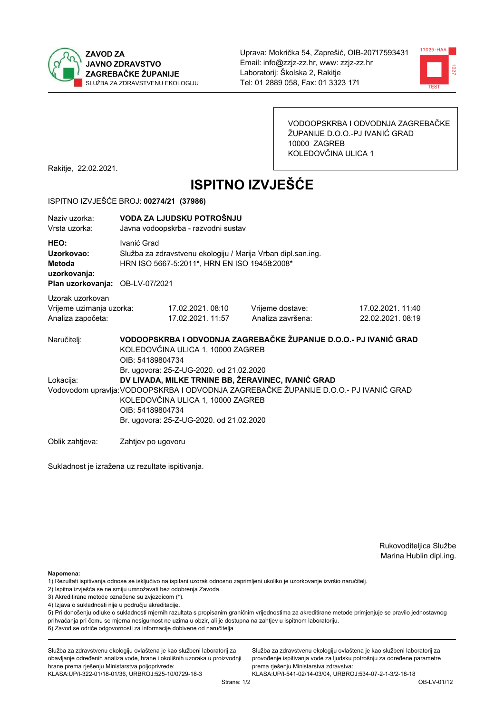



VODOOPSKRBA I ODVODNJA ZAGREBAČKE ŽUPANIJE D.O.O.-PJ IVANIĆ GRAD 10000 ZAGREB KOLEDOVČINA ULICA 1

Rakitje, 22.02.2021.

# **ISPITNO IZVJEŠĆE**

#### ISPITNO IZVJEŠĆE BROJ: 00274/21 (37986)

| Naziv uzorka:<br>Vrsta uzorka:                                                  | VODA ZA LJUDSKU POTROŠNJU<br>Javna vodoopskrba - razvodni sustav                                                                                                                                                                                                                             |                                                                                                              |                                                                   |                                      |  |  |
|---------------------------------------------------------------------------------|----------------------------------------------------------------------------------------------------------------------------------------------------------------------------------------------------------------------------------------------------------------------------------------------|--------------------------------------------------------------------------------------------------------------|-------------------------------------------------------------------|--------------------------------------|--|--|
| HEO:<br>Uzorkovao:<br>Metoda<br>uzorkovanja:<br>Plan uzorkovanja: OB-LV-07/2021 | Ivanić Grad                                                                                                                                                                                                                                                                                  | Služba za zdravstvenu ekologiju / Marija Vrban dipl.san.ing.<br>HRN ISO 5667-5:2011*, HRN EN ISO 19458:2008* |                                                                   |                                      |  |  |
| Uzorak uzorkovan<br>Vrijeme uzimanja uzorka:<br>Analiza započeta:               |                                                                                                                                                                                                                                                                                              | 17.02.2021. 08:10<br>17.02.2021. 11:57                                                                       | Vrijeme dostave:<br>Analiza završena:                             | 17.02.2021.11:40<br>22.02.2021.08:19 |  |  |
| Naručitelj:                                                                     | OIB: 54189804734                                                                                                                                                                                                                                                                             | KOLEDOVČINA ULICA 1, 10000 ZAGREB                                                                            | VODOOPSKRBA I ODVODNJA ZAGREBAČKE ŽUPANIJE D.O.O.- PJ IVANIĆ GRAD |                                      |  |  |
| Lokacija:                                                                       | Br. ugovora: 25-Z-UG-2020. od 21.02.2020<br>DV LIVADA, MILKE TRNINE BB, ŽERAVINEC, IVANIĆ GRAD<br>Vodovodom upravlja: VODOOPSKRBA I ODVODNJA ZAGREBAČKE ŽUPANIJE D.O.O.- PJ IVANIĆ GRAD<br>KOLEDOVČINA ULICA 1, 10000 ZAGREB<br>OIB: 54189804734<br>Br. ugovora: 25-Z-UG-2020. od 21.02.2020 |                                                                                                              |                                                                   |                                      |  |  |
| Oblik zahtjeva:                                                                 | Zahtjev po ugovoru                                                                                                                                                                                                                                                                           |                                                                                                              |                                                                   |                                      |  |  |

Zahtjev po ugovoru

Sukladnost je izražena uz rezultate ispitivanja.

Rukovoditeljica Službe Marina Hublin dipl.ing.

Napomena:

- 1) Rezultati ispitivanja odnose se isključivo na ispitani uzorak odnosno zaprimljeni ukoliko je uzorkovanje izvršio naručiteli.
- 2) Ispitna izvješća se ne smiju umnožavati bez odobrenja Zavoda.
- 3) Akreditirane metode označene su zvjezdicom (\*).
- 4) Izjava o sukladnosti nije u području akreditacije.

5) Pri donošenju odluke o sukladnosti mjernih razultata s propisanim graničnim vrijednostima za akreditirane metode primjenjuje se pravilo jednostavnog prihvaćanja pri čemu se mjerna nesigurnost ne uzima u obzir, ali je dostupna na zahtjev u ispitnom laboratoriju.

6) Zavod se odriče odgovornosti za informacije dobivene od naručitelja

Služba za zdravstvenu ekologiju ovlaštena je kao službeni laboratorij za obavljanje određenih analiza vode, hrane i okolišnih uzoraka u proizvodnji hrane prema rješenju Ministarstva poljoprivrede:

KLASA: UP/I-322-01/18-01/36, URBROJ: 525-10/0729-18-3

Služba za zdravstvenu ekologiju ovlaštena je kao službeni laboratorij za provođenje ispitivanja vode za ljudsku potrošnju za određene parametre prema riešenju Ministarstva zdravstva: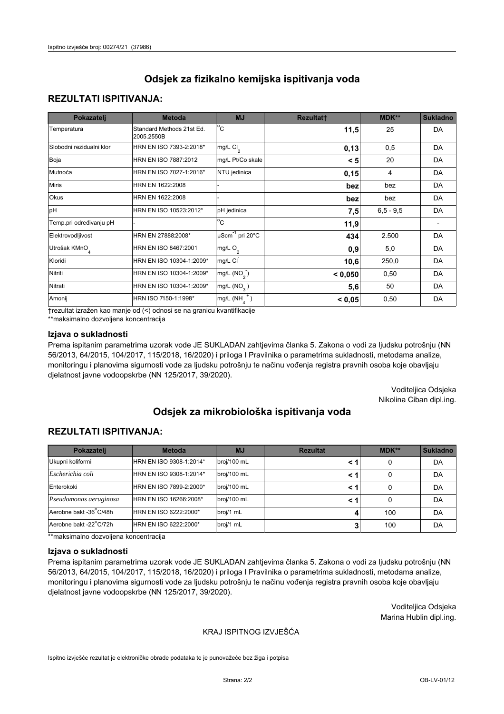## **REZULTATI ISPITIVANJA:**

| Pokazatelj                | <b>Metoda</b>                           | <b>MJ</b>                        | <b>Rezultatt</b> | MDK**       | <b>Sukladno</b> |
|---------------------------|-----------------------------------------|----------------------------------|------------------|-------------|-----------------|
| Temperatura               | Standard Methods 21st Ed.<br>2005.2550B | $^{\circ}$ C                     | 11,5             | 25          | DA              |
| Slobodni rezidualni klor  | HRN EN ISO 7393-2:2018*                 | mg/L $Cl2$                       | 0,13             | 0,5         | DA              |
| Boja                      | HRN EN ISO 7887:2012                    | mg/L Pt/Co skale                 | < 5              | 20          | DA              |
| Mutnoća                   | HRN EN ISO 7027-1:2016*                 | NTU jedinica                     | 0,15             | 4           | DA              |
| <b>Miris</b>              | HRN EN 1622:2008                        |                                  | bez              | bez         | DA              |
| Okus                      | HRN EN 1622:2008                        |                                  | bez              | bez         | DA              |
| pH                        | HRN EN ISO 10523:2012*                  | pH jedinica                      | 7,5              | $6,5 - 9,5$ | DA              |
| Temp.pri određivanju pH   |                                         | $\overline{c}$                   | 11,9             |             |                 |
| Elektrovodljivost         | HRN EN 27888:2008*                      | $\mu$ Scm <sup>-1</sup> pri 20°C | 434              | 2.500       | DA              |
| Utrošak KMnO <sub>4</sub> | HRN EN ISO 8467:2001                    | mg/L O <sub>2</sub>              | 0,9              | 5,0         | DA              |
| Kloridi                   | HRN EN ISO 10304-1:2009*                | mg/L CI                          | 10,6             | 250,0       | DA              |
| Nitriti                   | HRN EN ISO 10304-1:2009*                | mg/L $(NO2)$                     | < 0,050          | 0,50        | DA              |
| Nitrati                   | HRN EN ISO 10304-1:2009*                | mg/L (NO <sub>3</sub> )          | 5,6              | 50          | DA              |
| Amonij                    | HRN ISO 7150-1:1998*                    | $mg/L(NH_A^+)$                   | < 0,05           | 0,50        | DA              |

trezultat izražen kao manje od (<) odnosi se na granicu kvantifikacije

\*\*maksimalno dozvoljena koncentracija

#### Izjava o sukladnosti

Prema ispitanim parametrima uzorak vode JE SUKLADAN zahtjevima članka 5. Zakona o vodi za ljudsku potrošnju (NN 56/2013, 64/2015, 104/2017, 115/2018, 16/2020) i priloga I Pravilnika o parametrima sukladnosti, metodama analize, monitoringu i planovima sigurnosti vode za ljudsku potrošnju te načinu vođenja registra pravnih osoba koje obavljaju djelatnost javne vodoopskrbe (NN 125/2017, 39/2020).

> Voditeljica Odsjeka Nikolina Ciban dipl.ing.

# Odsiek za mikrobiološka ispitivanja voda

### **REZULTATI ISPITIVANJA:**

| Pokazatelj             | <b>Metoda</b>           | <b>MJ</b>   | <b>Rezultat</b> | MDK** | <b>Sukladno</b> |
|------------------------|-------------------------|-------------|-----------------|-------|-----------------|
| Ukupni koliformi       | HRN EN ISO 9308-1:2014* | broj/100 mL |                 | 0     | DA              |
| Escherichia coli       | HRN EN ISO 9308-1:2014* | broj/100 mL | < 1             | 0     | DA              |
| Enterokoki             | HRN EN ISO 7899-2:2000* | broj/100 mL | < 1             | 0     | DA              |
| Pseudomonas aeruginosa | HRN EN ISO 16266:2008*  | broj/100 mL | < 1             | 0     | DA              |
| Aerobne bakt -36°C/48h | HRN EN ISO 6222:2000*   | broj/1 mL   |                 | 100   | DA              |
| Aerobne bakt -22°C/72h | HRN EN ISO 6222:2000*   | broj/1 mL   |                 | 100   | DA              |

\*\*maksimalno dozvoljena koncentracija

#### Izjava o sukladnosti

Prema ispitanim parametrima uzorak vode JE SUKLADAN zahtjevima članka 5. Zakona o vodi za ljudsku potrošnju (NN 56/2013, 64/2015, 104/2017, 115/2018, 16/2020) i priloga I Pravilnika o parametrima sukladnosti, metodama analize, monitoringu i planovima sigurnosti vode za ljudsku potrošnju te načinu vođenja registra pravnih osoba koje obavljaju djelatnost javne vodoopskrbe (NN 125/2017, 39/2020).

> Voditeljica Odsjeka Marina Hublin dipl.ing.

#### KRAJ ISPITNOG IZVJEŠĆA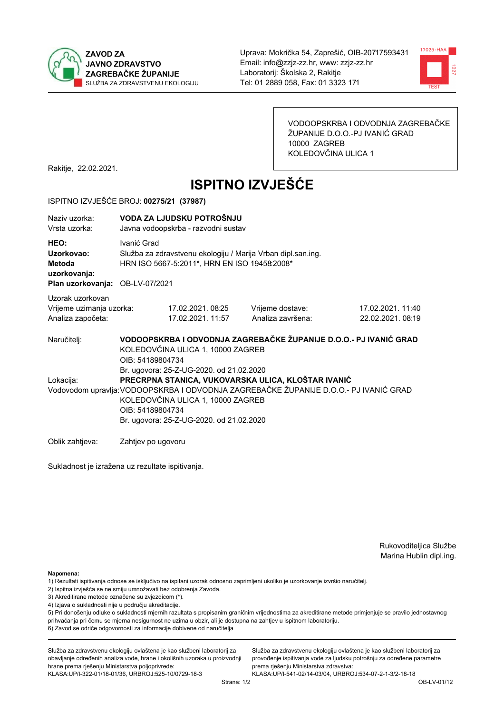



VODOOPSKRBA I ODVODNJA ZAGREBAČKE ŽUPANIJE D.O.O.-PJ IVANIĆ GRAD 10000 ZAGREB KOLEDOVČINA ULICA 1

Rakitje, 22.02.2021.

# **ISPITNO IZVJEŠĆE**

#### ISPITNO IZVJEŠĆE BROJ: 00275/21 (37987)

| Naziv uzorka:<br>Vrsta uzorka:                                                  |                                                                                                                                                                                                                                                                                              | VODA ZA LJUDSKU POTROŠNJU<br>Javna vodoopskrba - razvodni sustav                                             |                                       |                                                                   |  |  |
|---------------------------------------------------------------------------------|----------------------------------------------------------------------------------------------------------------------------------------------------------------------------------------------------------------------------------------------------------------------------------------------|--------------------------------------------------------------------------------------------------------------|---------------------------------------|-------------------------------------------------------------------|--|--|
| HEO:<br>Uzorkovao:<br>Metoda<br>uzorkovanja:<br>Plan uzorkovanja: OB-LV-07/2021 | Ivanić Grad                                                                                                                                                                                                                                                                                  | Služba za zdravstvenu ekologiju / Marija Vrban dipl.san.ing.<br>HRN ISO 5667-5:2011*, HRN EN ISO 19458:2008* |                                       |                                                                   |  |  |
| Uzorak uzorkovan<br>Vrijeme uzimanja uzorka:<br>Analiza započeta:               |                                                                                                                                                                                                                                                                                              | 17.02.2021. 08:25<br>17.02.2021. 11:57                                                                       | Vrijeme dostave:<br>Analiza završena: | 17.02.2021.11:40<br>22.02.2021.08:19                              |  |  |
| Naručitelj:                                                                     | OIB: 54189804734                                                                                                                                                                                                                                                                             | KOLEDOVČINA ULICA 1, 10000 ZAGREB                                                                            |                                       | VODOOPSKRBA I ODVODNJA ZAGREBAČKE ŽUPANIJE D.O.O.- PJ IVANIĆ GRAD |  |  |
| Lokacija:                                                                       | Br. ugovora: 25-Z-UG-2020. od 21.02.2020<br>PRECRPNA STANICA, VUKOVARSKA ULICA, KLOŠTAR IVANIĆ<br>Vodovodom upravlja: VODOOPSKRBA I ODVODNJA ZAGREBAČKE ŽUPANIJE D.O.O.- PJ IVANIĆ GRAD<br>KOLEDOVČINA ULICA 1, 10000 ZAGREB<br>OIB: 54189804734<br>Br. ugovora: 25-Z-UG-2020. od 21.02.2020 |                                                                                                              |                                       |                                                                   |  |  |
| Oblik zahtjeva:                                                                 | Zahtjev po ugovoru                                                                                                                                                                                                                                                                           |                                                                                                              |                                       |                                                                   |  |  |

Sukladnost je izražena uz rezultate ispitivanja.

Zahtjev po ugovoru

Rukovoditeljica Službe Marina Hublin dipl.ing.

Napomena:

- 2) Ispitna izvješća se ne smiju umnožavati bez odobrenja Zavoda.
- 3) Akreditirane metode označene su zvjezdicom (\*).
- 4) Izjava o sukladnosti nije u području akreditacije.

5) Pri donošenju odluke o sukladnosti mjernih razultata s propisanim graničnim vrijednostima za akreditirane metode primjenjuje se pravilo jednostavnog prihvaćanja pri čemu se mjerna nesigurnost ne uzima u obzir, ali je dostupna na zahtjev u ispitnom laboratoriju.

6) Zavod se odriče odgovornosti za informacije dobivene od naručitelja

Služba za zdravstvenu ekologiju ovlaštena je kao službeni laboratorij za obavljanje određenih analiza vode, hrane i okolišnih uzoraka u proizvodnji hrane prema rješenju Ministarstva poljoprivrede:

KLASA: UP/I-322-01/18-01/36, URBROJ: 525-10/0729-18-3

Služba za zdravstvenu ekologiju ovlaštena je kao službeni laboratorij za provođenje ispitivanja vode za ljudsku potrošnju za određene parametre prema riešenju Ministarstva zdravstva:

<sup>1)</sup> Rezultati ispitivanja odnose se isključivo na ispitani uzorak odnosno zaprimljeni ukoliko je uzorkovanje izvršio naručiteli.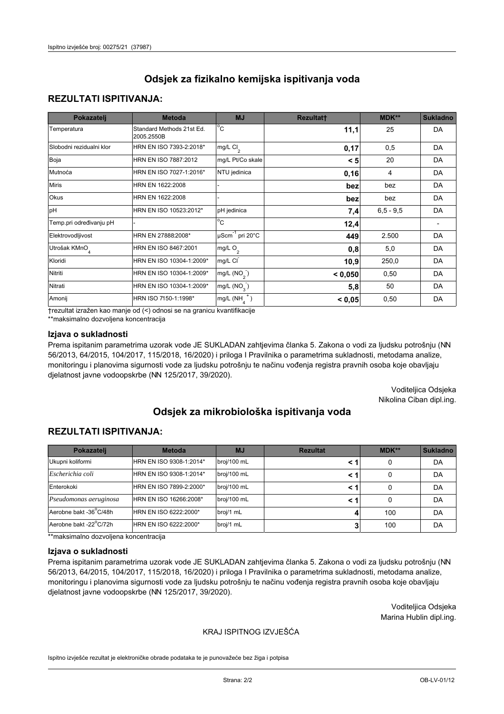## **REZULTATI ISPITIVANJA:**

| Pokazatelj                | <b>Metoda</b>                           | <b>MJ</b>                        | <b>Rezultatt</b> | MDK**       | <b>Sukladno</b> |
|---------------------------|-----------------------------------------|----------------------------------|------------------|-------------|-----------------|
| Temperatura               | Standard Methods 21st Ed.<br>2005.2550B | $^{\circ}$ C                     | 11,1             | 25          | DA              |
| Slobodni rezidualni klor  | HRN EN ISO 7393-2:2018*                 | mg/L $Cl2$                       | 0,17             | 0,5         | DA              |
| Boja                      | HRN EN ISO 7887:2012                    | mg/L Pt/Co skale                 | < 5              | 20          | DA              |
| Mutnoća                   | HRN EN ISO 7027-1:2016*                 | NTU jedinica                     | 0,16             | 4           | DA              |
| <b>Miris</b>              | HRN EN 1622:2008                        |                                  | bez              | bez         | DA              |
| Okus                      | HRN EN 1622:2008                        |                                  | bez              | bez         | DA              |
| pH                        | HRN EN ISO 10523:2012*                  | pH jedinica                      | 7,4              | $6,5 - 9,5$ | DA              |
| Temp.pri određivanju pH   |                                         | $\overline{c}$                   | 12,4             |             |                 |
| Elektrovodljivost         | HRN EN 27888:2008*                      | $\mu$ Scm <sup>-1</sup> pri 20°C | 449              | 2.500       | DA              |
| Utrošak KMnO <sub>4</sub> | HRN EN ISO 8467:2001                    | mg/L O <sub>2</sub>              | 0,8              | 5,0         | DA              |
| Kloridi                   | HRN EN ISO 10304-1:2009*                | mg/L CI                          | 10,9             | 250,0       | DA              |
| Nitriti                   | HRN EN ISO 10304-1:2009*                | mg/L $(NO2)$                     | < 0,050          | 0,50        | DA              |
| Nitrati                   | HRN EN ISO 10304-1:2009*                | mg/L (NO <sub>3</sub> )          | 5,8              | 50          | DA              |
| Amonij                    | HRN ISO 7150-1:1998*                    | $mg/L(NH_A^+)$                   | < 0,05           | 0,50        | DA              |

trezultat izražen kao manje od (<) odnosi se na granicu kvantifikacije

\*\*maksimalno dozvoljena koncentracija

#### Izjava o sukladnosti

Prema ispitanim parametrima uzorak vode JE SUKLADAN zahtjevima članka 5. Zakona o vodi za ljudsku potrošnju (NN 56/2013, 64/2015, 104/2017, 115/2018, 16/2020) i priloga I Pravilnika o parametrima sukladnosti, metodama analize, monitoringu i planovima sigurnosti vode za ljudsku potrošnju te načinu vođenja registra pravnih osoba koje obavljaju djelatnost javne vodoopskrbe (NN 125/2017, 39/2020).

> Voditeljica Odsjeka Nikolina Ciban dipl.ing.

# Odsiek za mikrobiološka ispitivanja voda

## **REZULTATI ISPITIVANJA:**

| Pokazatelj             | <b>Metoda</b>           | <b>MJ</b>   | <b>Rezultat</b> | MDK** | <b>Sukladno</b> |
|------------------------|-------------------------|-------------|-----------------|-------|-----------------|
| Ukupni koliformi       | HRN EN ISO 9308-1:2014* | broj/100 mL |                 | 0     | DA              |
| Escherichia coli       | HRN EN ISO 9308-1:2014* | broj/100 mL | < 1             | 0     | DA              |
| Enterokoki             | HRN EN ISO 7899-2:2000* | broj/100 mL | < 1             | 0     | DA              |
| Pseudomonas aeruginosa | HRN EN ISO 16266:2008*  | broj/100 mL | < 1             | 0     | DA              |
| Aerobne bakt -36°C/48h | HRN EN ISO 6222:2000*   | broj/1 mL   |                 | 100   | DA              |
| Aerobne bakt -22°C/72h | HRN EN ISO 6222:2000*   | broj/1 mL   |                 | 100   | DA              |

\*\*maksimalno dozvoljena koncentracija

#### Izjava o sukladnosti

Prema ispitanim parametrima uzorak vode JE SUKLADAN zahtjevima članka 5. Zakona o vodi za ljudsku potrošnju (NN 56/2013, 64/2015, 104/2017, 115/2018, 16/2020) i priloga I Pravilnika o parametrima sukladnosti, metodama analize, monitoringu i planovima sigurnosti vode za ljudsku potrošnju te načinu vođenja registra pravnih osoba koje obavljaju djelatnost javne vodoopskrbe (NN 125/2017, 39/2020).

> Voditeljica Odsjeka Marina Hublin dipl.ing.

#### KRAJ ISPITNOG IZVJEŠĆA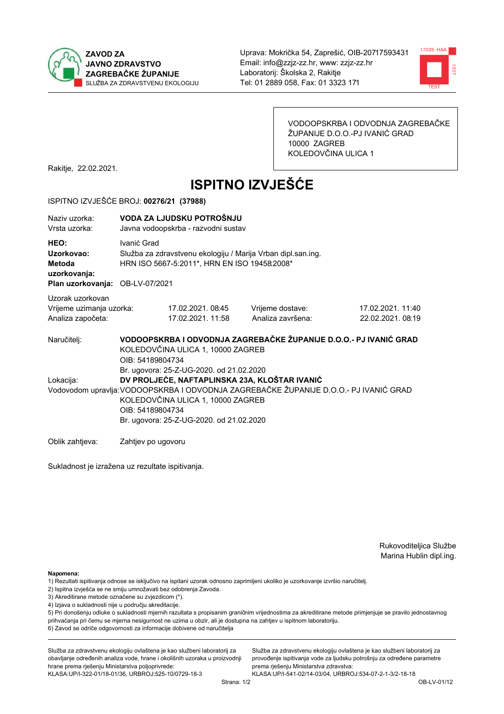



VODOOPSKRBA I ODVODNJA ZAGREBAČKE ŽUPANIJE D.O.O.-PJ IVANIĆ GRAD 10000 ZAGREB KOLEDOVČINA ULICA 1

Rakitje, 22.02.2021.

# **ISPITNO IZVJEŠĆE**

#### ISPITNO IZVJEŠĆE BROJ: 00276/21 (37988)

| Naziv uzorka:<br>Vrsta uzorka:                                                  | VODA ZA LJUDSKU POTROŠNJU<br>Javna vodoopskrba - razvodni sustav                                                                                                                                                                                                                        |                                                                                                              |                                                                   |                                       |  |  |
|---------------------------------------------------------------------------------|-----------------------------------------------------------------------------------------------------------------------------------------------------------------------------------------------------------------------------------------------------------------------------------------|--------------------------------------------------------------------------------------------------------------|-------------------------------------------------------------------|---------------------------------------|--|--|
| HEO:<br>Uzorkovao:<br>Metoda<br>uzorkovanja:<br>Plan uzorkovanja: OB-LV-07/2021 | Ivanić Grad                                                                                                                                                                                                                                                                             | Služba za zdravstvenu ekologiju / Marija Vrban dipl.san.ing.<br>HRN ISO 5667-5:2011*, HRN EN ISO 19458:2008* |                                                                   |                                       |  |  |
| Uzorak uzorkovan<br>Vrijeme uzimanja uzorka:<br>Analiza započeta:               |                                                                                                                                                                                                                                                                                         | 17.02.2021.08:45<br>17.02.2021. 11:58                                                                        | Vrijeme dostave:<br>Analiza završena:                             | 17.02.2021. 11:40<br>22.02.2021.08:19 |  |  |
| Naručitelj:                                                                     | OIB: 54189804734                                                                                                                                                                                                                                                                        | KOLEDOVČINA ULICA 1, 10000 ZAGREB                                                                            | VODOOPSKRBA I ODVODNJA ZAGREBAČKE ŽUPANIJE D.O.O.- PJ IVANIĆ GRAD |                                       |  |  |
| Lokacija:                                                                       | Br. ugovora: 25-Z-UG-2020. od 21.02.2020<br>DV PROLJEĆE, NAFTAPLINSKA 23A, KLOŠTAR IVANIĆ<br>Vodovodom upravlja: VODOOPSKRBA I ODVODNJA ZAGREBAČKE ŽUPANIJE D.O.O.- PJ IVANIĆ GRAD<br>KOLEDOVČINA ULICA 1, 10000 ZAGREB<br>OIB: 54189804734<br>Br. ugovora: 25-Z-UG-2020. od 21.02.2020 |                                                                                                              |                                                                   |                                       |  |  |
| Oblik zahtjeva:                                                                 | Zahtjev po ugovoru                                                                                                                                                                                                                                                                      |                                                                                                              |                                                                   |                                       |  |  |

Sukladnost je izražena uz rezultate ispitivanja.

Zahtjev po ugovoru

Rukovoditeljica Službe Marina Hublin dipl.ing.

Napomena:

- 2) Ispitna izvješća se ne smiju umnožavati bez odobrenja Zavoda.
- 3) Akreditirane metode označene su zvjezdicom (\*).
- 4) Izjava o sukladnosti nije u području akreditacije.

5) Pri donošenju odluke o sukladnosti mjernih razultata s propisanim graničnim vrijednostima za akreditirane metode primjenjuje se pravilo jednostavnog prihvaćanja pri čemu se mjerna nesigurnost ne uzima u obzir, ali je dostupna na zahtjev u ispitnom laboratoriju.

6) Zavod se odriče odgovornosti za informacije dobivene od naručitelja

Služba za zdravstvenu ekologiju ovlaštena je kao službeni laboratorij za obavljanje određenih analiza vode, hrane i okolišnih uzoraka u proizvodnji hrane prema rješenju Ministarstva poljoprivrede:

KLASA: UP/I-322-01/18-01/36, URBROJ: 525-10/0729-18-3

Služba za zdravstvenu ekologiju ovlaštena je kao službeni laboratorij za provođenje ispitivanja vode za ljudsku potrošnju za određene parametre prema riešenju Ministarstva zdravstva:

<sup>1)</sup> Rezultati ispitivanja odnose se isključivo na ispitani uzorak odnosno zaprimljeni ukoliko je uzorkovanje izvršio naručiteli.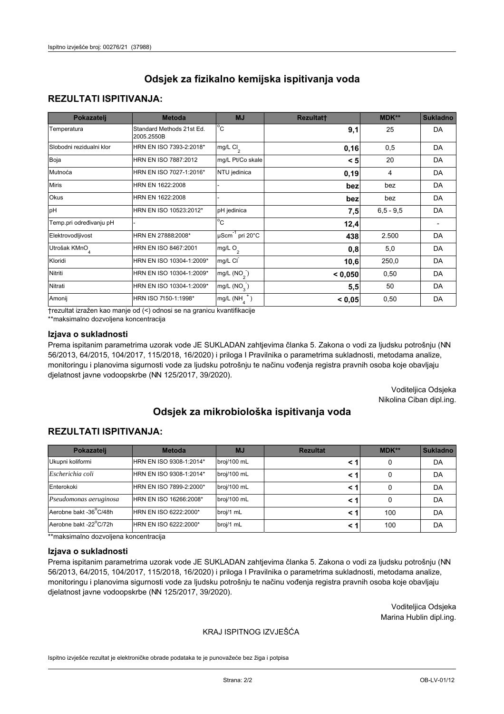## **REZULTATI ISPITIVANJA:**

| Pokazatelj                | <b>Metoda</b>                           | <b>MJ</b>                   | <b>Rezultatt</b> | MDK**       | <b>Sukladno</b> |
|---------------------------|-----------------------------------------|-----------------------------|------------------|-------------|-----------------|
| Temperatura               | Standard Methods 21st Ed.<br>2005.2550B | $^{\circ}$ C                | 9,1              | 25          | DA              |
| Slobodni rezidualni klor  | HRN EN ISO 7393-2:2018*                 | $mg/L$ Cl <sub>2</sub>      | 0, 16            | 0,5         | DA              |
| Boja                      | HRN EN ISO 7887:2012                    | mg/L Pt/Co skale            | < 5              | 20          | DA              |
| Mutnoća                   | HRN EN ISO 7027-1:2016*                 | NTU jedinica                | 0, 19            | 4           | DA              |
| <b>Miris</b>              | HRN EN 1622:2008                        |                             | bez              | bez         | DA              |
| Okus                      | HRN EN 1622:2008                        |                             | bez              | bez         | DA              |
| pH                        | HRN EN ISO 10523:2012*                  | pH jedinica                 | 7,5              | $6,5 - 9,5$ | DA              |
| Temp.pri određivanju pH   |                                         | $\overline{c}$              | 12,4             |             |                 |
| Elektrovodljivost         | HRN EN 27888:2008*                      | µScm <sup>-1</sup> pri 20°C | 438              | 2.500       | DA              |
| Utrošak KMnO <sub>4</sub> | HRN EN ISO 8467:2001                    | mg/L O <sub>2</sub>         | 0,8              | 5,0         | DA              |
| Kloridi                   | HRN EN ISO 10304-1:2009*                | mg/L CI                     | 10,6             | 250,0       | DA              |
| Nitriti                   | HRN EN ISO 10304-1:2009*                | mg/L $(NO2)$                | < 0,050          | 0,50        | DA              |
| Nitrati                   | HRN EN ISO 10304-1:2009*                | mg/L (NO <sub>3</sub> )     | 5,5              | 50          | DA              |
| Amonij                    | HRN ISO 7150-1:1998*                    | $mg/L(NH_A^+)$              | < 0,05           | 0,50        | DA              |

trezultat izražen kao manje od (<) odnosi se na granicu kvantifikacije

\*\*maksimalno dozvoljena koncentracija

#### Izjava o sukladnosti

Prema ispitanim parametrima uzorak vode JE SUKLADAN zahtjevima članka 5. Zakona o vodi za ljudsku potrošnju (NN 56/2013, 64/2015, 104/2017, 115/2018, 16/2020) i priloga I Pravilnika o parametrima sukladnosti, metodama analize, monitoringu i planovima sigurnosti vode za ljudsku potrošnju te načinu vođenja registra pravnih osoba koje obavljaju djelatnost javne vodoopskrbe (NN 125/2017, 39/2020).

> Voditeljica Odsjeka Nikolina Ciban dipl.ing.

# Odsiek za mikrobiološka ispitivanja voda

### **REZULTATI ISPITIVANJA:**

| Pokazatelj             | <b>Metoda</b>           | <b>MJ</b>   | <b>Rezultat</b> | MDK** | Sukladno |
|------------------------|-------------------------|-------------|-----------------|-------|----------|
| Ukupni koliformi       | HRN EN ISO 9308-1:2014* | broj/100 mL |                 | 0     | DA       |
| Escherichia coli       | HRN EN ISO 9308-1:2014* | broj/100 mL | < 1             | 0     | DA       |
| Enterokoki             | HRN EN ISO 7899-2:2000* | broj/100 mL | < 1             | 0     | DA       |
| Pseudomonas aeruginosa | HRN EN ISO 16266:2008*  | broj/100 mL | < 1             | 0     | DA       |
| Aerobne bakt -36°C/48h | HRN EN ISO 6222:2000*   | broj/1 mL   | < 1             | 100   | DA       |
| Aerobne bakt -22°C/72h | HRN EN ISO 6222:2000*   | broj/1 mL   | < 1             | 100   | DA       |

\*\*maksimalno dozvoljena koncentracija

#### Izjava o sukladnosti

Prema ispitanim parametrima uzorak vode JE SUKLADAN zahtjevima članka 5. Zakona o vodi za ljudsku potrošnju (NN 56/2013, 64/2015, 104/2017, 115/2018, 16/2020) i priloga I Pravilnika o parametrima sukladnosti, metodama analize, monitoringu i planovima sigurnosti vode za ljudsku potrošnju te načinu vođenja registra pravnih osoba koje obavljaju djelatnost javne vodoopskrbe (NN 125/2017, 39/2020).

> Voditeljica Odsjeka Marina Hublin dipl.ing.

#### KRAJ ISPITNOG IZVJEŠĆA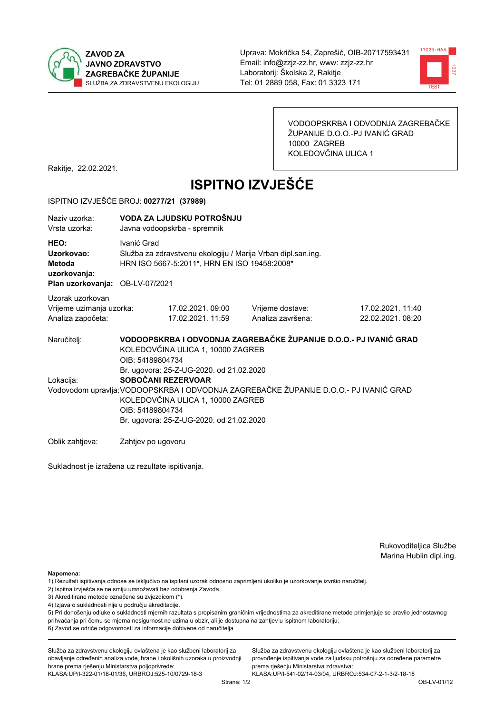



VODOOPSKRBA I ODVODNJA ZAGREBAČKE ŽUPANIJE D.O.O.-PJ IVANIĆ GRAD 10000 ZAGREB KOLEDOVČINA ULICA 1

Rakitje, 22.02.2021.

# **ISPITNO IZVJEŠĆE**

#### ISPITNO IZVJEŠĆE BROJ: 00277/21 (37989)

| Naziy uzorka:<br>Vrsta uzorka:                                                  | VODA ZA LJUDSKU POTROŠNJU<br>Javna vodoopskrba - spremnik |                                                                                                                                                                                                                                                              |                                                                   |                                       |  |  |
|---------------------------------------------------------------------------------|-----------------------------------------------------------|--------------------------------------------------------------------------------------------------------------------------------------------------------------------------------------------------------------------------------------------------------------|-------------------------------------------------------------------|---------------------------------------|--|--|
| HEO:<br>Uzorkovao:<br>Metoda<br>uzorkovanja:<br>Plan uzorkovanja: OB-LV-07/2021 | Ivanić Grad                                               | Služba za zdravstvenu ekologiju / Marija Vrban dipl.san.ing.<br>HRN ISO 5667-5:2011*, HRN EN ISO 19458:2008*                                                                                                                                                 |                                                                   |                                       |  |  |
| Uzorak uzorkovan<br>Vrijeme uzimanja uzorka:<br>Analiza započeta:               |                                                           | 17.02.2021.09:00<br>17.02.2021. 11:59                                                                                                                                                                                                                        | Vrijeme dostave:<br>Analiza završena:                             | 17.02.2021. 11:40<br>22.02.2021.08:20 |  |  |
| Naručitelj:                                                                     | OIB: 54189804734                                          | KOLEDOVČINA ULICA 1, 10000 ZAGREB                                                                                                                                                                                                                            | VODOOPSKRBA I ODVODNJA ZAGREBAČKE ŽUPANIJE D.O.O.- PJ IVANIĆ GRAD |                                       |  |  |
| Lokacija:                                                                       |                                                           | Br. ugovora: 25-Z-UG-2020. od 21.02.2020<br>SOBOČANI REZERVOAR<br>Vodovodom upravlja: VODOOPSKRBA I ODVODNJA ZAGREBAČKE ŽUPANIJE D.O.O.- PJ IVANIĆ GRAD<br>KOLEDOVČINA ULICA 1, 10000 ZAGREB<br>OIB: 54189804734<br>Br. ugovora: 25-Z-UG-2020. od 21.02.2020 |                                                                   |                                       |  |  |
| Oblik zahtjeva:                                                                 | Zahtjev po ugovoru                                        |                                                                                                                                                                                                                                                              |                                                                   |                                       |  |  |

Sukladnost je izražena uz rezultate ispitivanja.

Rukovoditeljica Službe Marina Hublin dipl.ing.

Napomena:

- 1) Rezultati ispitivanja odnose se isključivo na ispitani uzorak odnosno zaprimljeni ukoliko je uzorkovanje izvršio naručiteli.
- 2) Ispitna izvješća se ne smiju umnožavati bez odobrenja Zavoda.
- 3) Akreditirane metode označene su zvjezdicom (\*).
- 4) Izjava o sukladnosti nije u području akreditacije.

5) Pri donošenju odluke o sukladnosti mjernih razultata s propisanim graničnim vrijednostima za akreditirane metode primjenjuje se pravilo jednostavnog prihvaćanja pri čemu se mjerna nesigurnost ne uzima u obzir, ali je dostupna na zahtjev u ispitnom laboratoriju.

6) Zavod se odriče odgovornosti za informacije dobivene od naručitelja

Služba za zdravstvenu ekologiju ovlaštena je kao službeni laboratorij za obavljanje određenih analiza vode, hrane i okolišnih uzoraka u proizvodnji hrane prema rješenju Ministarstva poljoprivrede:

KLASA: UP/I-322-01/18-01/36, URBROJ: 525-10/0729-18-3

Služba za zdravstvenu ekologiju ovlaštena je kao službeni laboratorij za provođenje ispitivanja vode za ljudsku potrošnju za određene parametre prema riešenju Ministarstva zdravstva: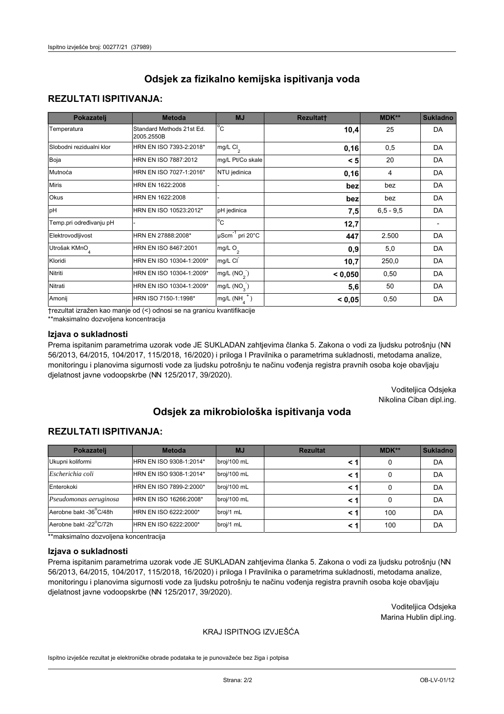## **REZULTATI ISPITIVANJA:**

| Pokazatelj                | <b>Metoda</b>                           | <b>MJ</b>                   | <b>Rezultatt</b> | <b>MDK**</b> | <b>Sukladno</b> |
|---------------------------|-----------------------------------------|-----------------------------|------------------|--------------|-----------------|
| Temperatura               | Standard Methods 21st Ed.<br>2005.2550B | $^{\circ}$ C                | 10,4             | 25           | DA              |
| Slobodni rezidualni klor  | HRN EN ISO 7393-2:2018*                 | mg/L $Cl_2$                 | 0,16             | 0,5          | DA              |
| Boja                      | HRN EN ISO 7887:2012                    | mg/L Pt/Co skale            | < 5              | 20           | DA              |
| Mutnoća                   | HRN EN ISO 7027-1:2016*                 | NTU jedinica                | 0, 16            | 4            | DA              |
| <b>Miris</b>              | HRN EN 1622:2008                        |                             | bez              | bez          | DA              |
| Okus                      | HRN EN 1622:2008                        |                             | bez              | bez          | DA              |
| pH                        | HRN EN ISO 10523:2012*                  | pH jedinica                 | 7,5              | $6.5 - 9.5$  | DA              |
| Temp.pri određivanju pH   |                                         | $\overline{c}$              | 12,7             |              |                 |
| Elektrovodljivost         | HRN EN 27888:2008*                      | µScm <sup>-1</sup> pri 20°C | 447              | 2.500        | DA              |
| Utrošak KMnO <sub>4</sub> | HRN EN ISO 8467:2001                    | mg/L O <sub>2</sub>         | 0,9              | 5,0          | DA              |
| Kloridi                   | HRN EN ISO 10304-1:2009*                | mg/L CI                     | 10,7             | 250,0        | DA              |
| Nitriti                   | HRN EN ISO 10304-1:2009*                | mg/L $(NO2)$                | < 0,050          | 0,50         | DA              |
| Nitrati                   | HRN EN ISO 10304-1:2009*                | mg/L (NO <sub>3</sub> )     | 5,6              | 50           | DA              |
| Amonij                    | HRN ISO 7150-1:1998*                    | mg/L $(NH_A^+)$             | < 0,05           | 0,50         | DA              |

trezultat izražen kao manje od (<) odnosi se na granicu kvantifikacije

\*\*maksimalno dozvoljena koncentracija

#### Izjava o sukladnosti

Prema ispitanim parametrima uzorak vode JE SUKLADAN zahtjevima članka 5. Zakona o vodi za ljudsku potrošnju (NN 56/2013, 64/2015, 104/2017, 115/2018, 16/2020) i priloga I Pravilnika o parametrima sukladnosti, metodama analize, monitoringu i planovima sigurnosti vode za ljudsku potrošnju te načinu vođenja registra pravnih osoba koje obavljaju djelatnost javne vodoopskrbe (NN 125/2017, 39/2020).

> Voditeljica Odsjeka Nikolina Ciban dipl.ing.

# Odsiek za mikrobiološka ispitivanja voda

## **REZULTATI ISPITIVANJA:**

| Pokazatelj             | <b>Metoda</b>           | <b>MJ</b>   | <b>Rezultat</b> | $MDK**$ | <b>Sukladno</b> |
|------------------------|-------------------------|-------------|-----------------|---------|-----------------|
| Ukupni koliformi       | HRN EN ISO 9308-1:2014* | broj/100 mL | < 1             | 0       | DA              |
| Escherichia coli       | HRN EN ISO 9308-1:2014* | broj/100 mL | < 1             | 0       | DA              |
| Enterokoki             | HRN EN ISO 7899-2:2000* | broj/100 mL | < 1             |         | DA              |
| Pseudomonas aeruginosa | HRN EN ISO 16266:2008*  | broj/100 mL | < 1             | 0       | DA              |
| Aerobne bakt -36°C/48h | HRN EN ISO 6222:2000*   | broj/1 mL   | < 1             | 100     | DA              |
| Aerobne bakt -22°C/72h | HRN EN ISO 6222:2000*   | broj/1 mL   | < 1             | 100     | DA              |

\*\*maksimalno dozvoljena koncentracija

#### Izjava o sukladnosti

Prema ispitanim parametrima uzorak vode JE SUKLADAN zahtjevima članka 5. Zakona o vodi za ljudsku potrošnju (NN 56/2013, 64/2015, 104/2017, 115/2018, 16/2020) i priloga I Pravilnika o parametrima sukladnosti, metodama analize, monitoringu i planovima sigurnosti vode za ljudsku potrošnju te načinu vođenja registra pravnih osoba koje obavljaju djelatnost javne vodoopskrbe (NN 125/2017, 39/2020).

> Voditeljica Odsjeka Marina Hublin dipl.ing.

#### KRAJ ISPITNOG IZVJEŠĆA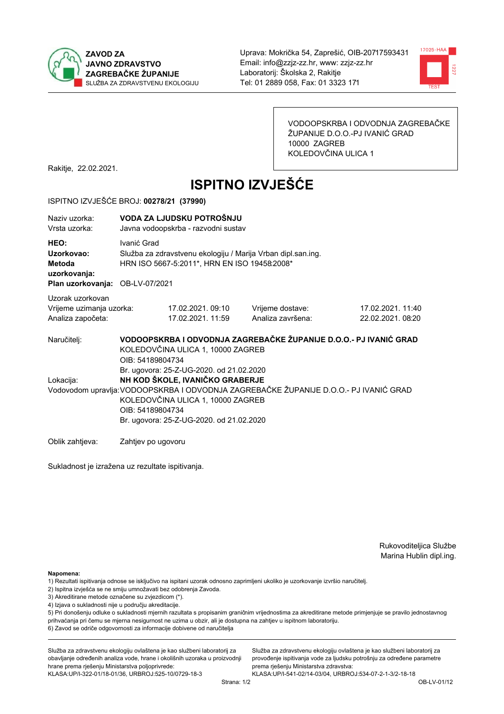



VODOOPSKRBA I ODVODNJA ZAGREBAČKE ŽUPANIJE D.O.O.-PJ IVANIĆ GRAD 10000 ZAGREB KOLEDOVČINA ULICA 1

Rakitje, 22.02.2021.

# **ISPITNO IZVJEŠĆE**

#### ISPITNO IZVJEŠĆE BROJ: 00278/21 (37990)

| Naziv uzorka:<br>Vrsta uzorka:                                                  | VODA ZA LJUDSKU POTROŠNJU<br>Javna vodoopskrba - razvodni sustav                                                                                                                                                                                                          |                                                                                                              |                                                                   |                                       |  |  |
|---------------------------------------------------------------------------------|---------------------------------------------------------------------------------------------------------------------------------------------------------------------------------------------------------------------------------------------------------------------------|--------------------------------------------------------------------------------------------------------------|-------------------------------------------------------------------|---------------------------------------|--|--|
| HEO:<br>Uzorkovao:<br>Metoda<br>uzorkovanja:<br>Plan uzorkovanja: OB-LV-07/2021 | Ivanić Grad                                                                                                                                                                                                                                                               | Služba za zdravstvenu ekologiju / Marija Vrban dipl.san.ing.<br>HRN ISO 5667-5:2011*, HRN EN ISO 19458:2008* |                                                                   |                                       |  |  |
| Uzorak uzorkovan<br>Vrijeme uzimanja uzorka:<br>Analiza započeta:               |                                                                                                                                                                                                                                                                           | 17.02.2021.09:10<br>17.02.2021.11:59                                                                         | Vrijeme dostave:<br>Analiza završena:                             | 17.02.2021. 11:40<br>22.02.2021.08:20 |  |  |
| Naručitelj:                                                                     | OIB: 54189804734                                                                                                                                                                                                                                                          | KOLEDOVČINA ULICA 1, 10000 ZAGREB                                                                            | VODOOPSKRBA I ODVODNJA ZAGREBAČKE ŽUPANIJE D.O.O.- PJ IVANIĆ GRAD |                                       |  |  |
| Lokacija:                                                                       | Br. ugovora: 25-Z-UG-2020. od 21.02.2020<br>NH KOD ŠKOLE, IVANIČKO GRABERJE<br>Vodovodom upravlja: VODOOPSKRBA I ODVODNJA ZAGREBAČKE ŽUPANIJE D.O.O.- PJ IVANIĆ GRAD<br>KOLEDOVČINA ULICA 1, 10000 ZAGREB<br>OIB: 54189804734<br>Br. ugovora: 25-Z-UG-2020. od 21.02.2020 |                                                                                                              |                                                                   |                                       |  |  |
| Oblik zahtieva:                                                                 | Zahtjev po ugovoru                                                                                                                                                                                                                                                        |                                                                                                              |                                                                   |                                       |  |  |

Sukladnost je izražena uz rezultate ispitivanja.

Rukovoditeljica Službe Marina Hublin dipl.ing.

Napomena:

- 1) Rezultati ispitivanja odnose se isključivo na ispitani uzorak odnosno zaprimljeni ukoliko je uzorkovanje izvršio naručiteli.
- 2) Ispitna izvješća se ne smiju umnožavati bez odobrenja Zavoda.
- 3) Akreditirane metode označene su zvjezdicom (\*).
- 4) Izjava o sukladnosti nije u području akreditacije.

5) Pri donošenju odluke o sukladnosti mjernih razultata s propisanim graničnim vrijednostima za akreditirane metode primjenjuje se pravilo jednostavnog prihvaćanja pri čemu se mjerna nesigurnost ne uzima u obzir, ali je dostupna na zahtjev u ispitnom laboratoriju.

6) Zavod se odriče odgovornosti za informacije dobivene od naručitelja

Služba za zdravstvenu ekologiju ovlaštena je kao službeni laboratorij za obavljanje određenih analiza vode, hrane i okolišnih uzoraka u proizvodnji hrane prema rješenju Ministarstva poljoprivrede:

KLASA.UP/I-322-01/18-01/36, URBROJ.525-10/0729-18-3

Služba za zdravstvenu ekologiju ovlaštena je kao službeni laboratorij za provođenje ispitivanja vode za ljudsku potrošnju za određene parametre prema riešenju Ministarstva zdravstva: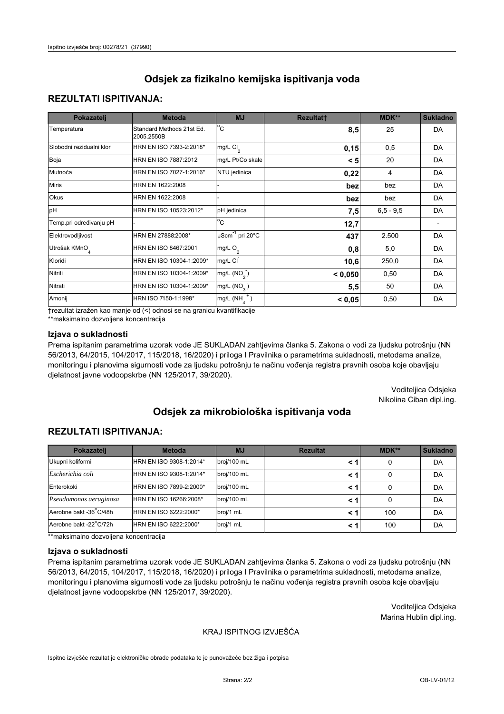## **REZULTATI ISPITIVANJA:**

| Pokazatelj                | <b>Metoda</b>                           | <b>MJ</b>                   | <b>Rezultatt</b> | MDK**       | <b>Sukladno</b> |
|---------------------------|-----------------------------------------|-----------------------------|------------------|-------------|-----------------|
| Temperatura               | Standard Methods 21st Ed.<br>2005.2550B | $^{\circ}$ C                | 8,5              | 25          | DA              |
| Slobodni rezidualni klor  | HRN EN ISO 7393-2:2018*                 | $mg/L$ Cl <sub>2</sub>      | 0,15             | 0,5         | <b>DA</b>       |
| Boja                      | HRN EN ISO 7887:2012                    | mg/L Pt/Co skale            | < 5              | 20          | DA              |
| Mutnoća                   | HRN EN ISO 7027-1:2016*                 | NTU jedinica                | 0,22             | 4           | DA              |
| <b>Miris</b>              | HRN EN 1622:2008                        |                             | bez              | bez         | DA              |
| Okus                      | HRN EN 1622:2008                        |                             | bez              | bez         | DA              |
| pH                        | HRN EN ISO 10523:2012*                  | pH jedinica                 | 7,5              | $6,5 - 9,5$ | <b>DA</b>       |
| Temp.pri određivanju pH   |                                         | $\overline{c}$              | 12,7             |             |                 |
| Elektrovodljivost         | HRN EN 27888:2008*                      | µScm <sup>-1</sup> pri 20°C | 437              | 2.500       | DA              |
| Utrošak KMnO <sub>4</sub> | HRN EN ISO 8467:2001                    | mg/L O <sub>2</sub>         | 0,8              | 5,0         | DA              |
| Kloridi                   | HRN EN ISO 10304-1:2009*                | mg/L CI                     | 10,6             | 250,0       | DA              |
| Nitriti                   | HRN EN ISO 10304-1:2009*                | mg/L $(NO2)$                | < 0,050          | 0,50        | DA              |
| Nitrati                   | HRN EN ISO 10304-1:2009*                | mg/L (NO <sub>3</sub> )     | 5,5              | 50          | DA              |
| Amonij                    | HRN ISO 7150-1:1998*                    | $mg/L(NH_A^+)$              | < 0,05           | 0,50        | DA              |

trezultat izražen kao manje od (<) odnosi se na granicu kvantifikacije

\*\*maksimalno dozvoljena koncentracija

#### Izjava o sukladnosti

Prema ispitanim parametrima uzorak vode JE SUKLADAN zahtjevima članka 5. Zakona o vodi za ljudsku potrošnju (NN 56/2013, 64/2015, 104/2017, 115/2018, 16/2020) i priloga I Pravilnika o parametrima sukladnosti, metodama analize, monitoringu i planovima sigurnosti vode za ljudsku potrošnju te načinu vođenja registra pravnih osoba koje obavljaju djelatnost javne vodoopskrbe (NN 125/2017, 39/2020).

> Voditeljica Odsjeka Nikolina Ciban dipl.ing.

# Odsiek za mikrobiološka ispitivanja voda

## **REZULTATI ISPITIVANJA:**

| Pokazatelj             | <b>Metoda</b>           | <b>MJ</b>   | <b>Rezultat</b> | $MDK**$ | <b>Sukladno</b> |
|------------------------|-------------------------|-------------|-----------------|---------|-----------------|
| Ukupni koliformi       | HRN EN ISO 9308-1:2014* | broj/100 mL | < 1             | 0       | DA              |
| Escherichia coli       | HRN EN ISO 9308-1:2014* | broj/100 mL | < 1             | 0       | DA              |
| Enterokoki             | HRN EN ISO 7899-2:2000* | broj/100 mL | < 1             |         | DA              |
| Pseudomonas aeruginosa | HRN EN ISO 16266:2008*  | broj/100 mL | < 1             | 0       | DA              |
| Aerobne bakt -36°C/48h | HRN EN ISO 6222:2000*   | broj/1 mL   | < 1             | 100     | DA              |
| Aerobne bakt -22°C/72h | HRN EN ISO 6222:2000*   | broj/1 mL   | < 1             | 100     | DA              |

\*\*maksimalno dozvoljena koncentracija

#### Izjava o sukladnosti

Prema ispitanim parametrima uzorak vode JE SUKLADAN zahtjevima članka 5. Zakona o vodi za ljudsku potrošnju (NN 56/2013, 64/2015, 104/2017, 115/2018, 16/2020) i priloga I Pravilnika o parametrima sukladnosti, metodama analize, monitoringu i planovima sigurnosti vode za ljudsku potrošnju te načinu vođenja registra pravnih osoba koje obavljaju djelatnost javne vodoopskrbe (NN 125/2017, 39/2020).

> Voditeljica Odsjeka Marina Hublin dipl.ing.

#### KRAJ ISPITNOG IZVJEŠĆA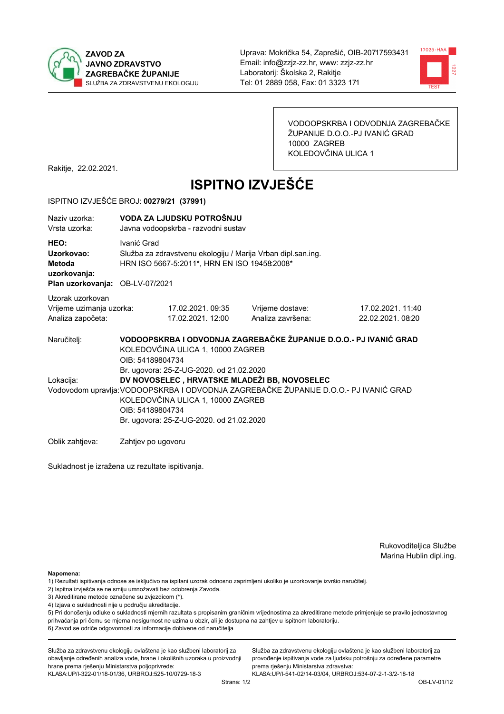



VODOOPSKRBA I ODVODNJA ZAGREBAČKE ŽUPANIJE D.O.O.-PJ IVANIĆ GRAD 10000 ZAGREB KOLEDOVČINA ULICA 1

Rakitje, 22.02.2021.

# **ISPITNO IZVJEŠĆE**

#### ISPITNO IZVJEŠĆE BROJ: 00279/21 (37991)

| Naziv uzorka:<br>Vrsta uzorka:                                                  |                  | VODA ZA LJUDSKU POTROŠNJU<br>Javna vodoopskrba - razvodni sustav                                             |                                                                                                                                       |                                                                   |  |  |
|---------------------------------------------------------------------------------|------------------|--------------------------------------------------------------------------------------------------------------|---------------------------------------------------------------------------------------------------------------------------------------|-------------------------------------------------------------------|--|--|
| HEO:<br>Uzorkovao:<br>Metoda<br>uzorkovanja:<br>Plan uzorkovanja: OB-LV-07/2021 | Ivanić Grad      | Služba za zdravstvenu ekologiju / Marija Vrban dipl.san.ing.<br>HRN ISO 5667-5:2011*, HRN EN ISO 19458:2008* |                                                                                                                                       |                                                                   |  |  |
| Uzorak uzorkovan<br>Vrijeme uzimanja uzorka:<br>Analiza započeta:               |                  | 17.02.2021.09:35<br>17.02.2021. 12:00                                                                        | Vrijeme dostave:<br>Analiza završena:                                                                                                 | 17.02.2021. 11:40<br>22.02.2021.08:20                             |  |  |
| Naručitelj:                                                                     | OIB: 54189804734 | KOLEDOVČINA ULICA 1, 10000 ZAGREB<br>Br. ugovora: 25-Z-UG-2020. od 21.02.2020                                |                                                                                                                                       | VODOOPSKRBA I ODVODNJA ZAGREBAČKE ŽUPANIJE D.O.O.- PJ IVANIĆ GRAD |  |  |
| Lokacija:                                                                       | OIB: 54189804734 | KOLEDOVČINA ULICA 1, 10000 ZAGREB<br>Br. ugovora: 25-Z-UG-2020. od 21.02.2020                                | DV NOVOSELEC, HRVATSKE MLADEŽI BB, NOVOSELEC<br>Vodovodom upravlja: VODOOPSKRBA I ODVODNJA ZAGREBAČKE ŽUPANIJE D.O.O.- PJ IVANIĆ GRAD |                                                                   |  |  |

Oblik zahtjeva: Zahtjev po ugovoru

Sukladnost je izražena uz rezultate ispitivanja.

Rukovoditeljica Službe Marina Hublin dipl.ing.

Napomena:

- 1) Rezultati ispitivanja odnose se isključivo na ispitani uzorak odnosno zaprimljeni ukoliko je uzorkovanje izvršio naručiteli.
- 2) Ispitna izvješća se ne smiju umnožavati bez odobrenja Zavoda.
- 3) Akreditirane metode označene su zvjezdicom (\*).
- 4) Izjava o sukladnosti nije u području akreditacije.

5) Pri donošenju odluke o sukladnosti mjernih razultata s propisanim graničnim vrijednostima za akreditirane metode primjenjuje se pravilo jednostavnog prihvaćanja pri čemu se mjerna nesigurnost ne uzima u obzir, ali je dostupna na zahtjev u ispitnom laboratoriju.

6) Zavod se odriče odgovornosti za informacije dobivene od naručitelja

Služba za zdravstvenu ekologiju ovlaštena je kao službeni laboratorij za obavljanje određenih analiza vode, hrane i okolišnih uzoraka u proizvodnji hrane prema rješenju Ministarstva poljoprivrede:

KLASA.UP/I-322-01/18-01/36, URBROJ:525-10/0729-18-3

Služba za zdravstvenu ekologiju ovlaštena je kao službeni laboratorij za provođenje ispitivanja vode za ljudsku potrošnju za određene parametre prema riešenju Ministarstva zdravstva: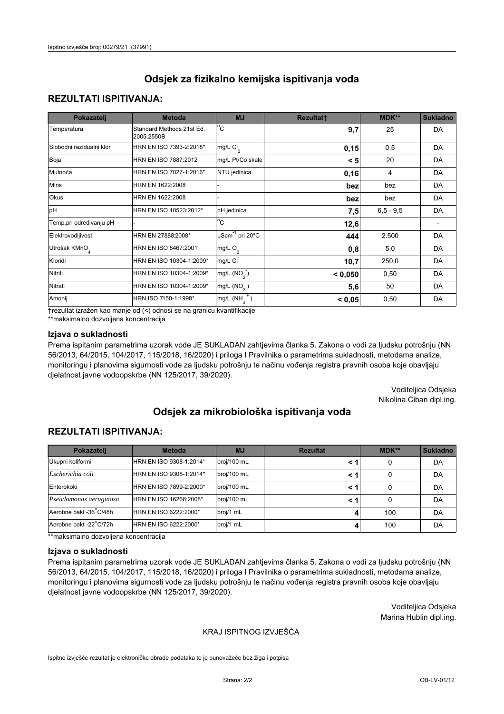### **REZULTATI ISPITIVANJA:**

| Pokazatelj                | <b>Metoda</b>                           | <b>MJ</b>                                | <b>Rezultatt</b> | <b>MDK**</b> | <b>Sukladno</b> |
|---------------------------|-----------------------------------------|------------------------------------------|------------------|--------------|-----------------|
| Temperatura               | Standard Methods 21st Ed.<br>2005.2550B | $\overline{C}$                           | 9,7              | 25           | DA              |
| Slobodni rezidualni klor  | HRN EN ISO 7393-2:2018*                 | $\overline{\text{mg/L}}$ Cl <sub>2</sub> | 0,15             | 0,5          | DA              |
| Boja                      | HRN EN ISO 7887:2012                    | mg/L Pt/Co skale                         | < 5              | 20           | DA              |
| Mutnoća                   | HRN EN ISO 7027-1:2016*                 | NTU jedinica                             | 0, 16            | 4            | DA              |
| <b>Miris</b>              | HRN EN 1622:2008                        |                                          | bez              | bez          | DA              |
| Okus                      | HRN EN 1622:2008                        |                                          | bez              | bez          | DA              |
| pH                        | HRN EN ISO 10523:2012*                  | pH jedinica                              | 7,5              | $6.5 - 9.5$  | DA              |
| Temp.pri određivanju pH   |                                         | $\overline{c}$                           | 12,6             |              |                 |
| Elektrovodljivost         | HRN EN 27888:2008*                      | $\mu$ Scm <sup>-1</sup> pri 20°C         | 444              | 2.500        | DA              |
| Utrošak KMnO <sub>4</sub> | HRN EN ISO 8467:2001                    | mg/L $O_2$                               | 0,8              | 5,0          | DA              |
| Kloridi                   | HRN EN ISO 10304-1:2009*                | mg/L CI                                  | 10,7             | 250,0        | DA              |
| Nitriti                   | HRN EN ISO 10304-1:2009*                | mg/L $(NO2)$                             | < 0,050          | 0,50         | DA              |
| Nitrati                   | HRN EN ISO 10304-1:2009*                | mg/L $(NO3)$                             | 5,6              | 50           | DA              |
| Amonij                    | HRN ISO 7150-1:1998*                    | mg/L $(NH_{\lambda}^{\dagger})$          | < 0,05           | 0,50         | DA              |

trezultat izražen kao manje od (<) odnosi se na granicu kvantifikacije

\*\*maksimalno dozvoljena koncentracija

#### Izjava o sukladnosti

Prema ispitanim parametrima uzorak vode JE SUKLADAN zahtjevima članka 5. Zakona o vodi za ljudsku potrošnju (NN 56/2013, 64/2015, 104/2017, 115/2018, 16/2020) i priloga I Pravilnika o parametrima sukladnosti, metodama analize, monitoringu i planovima sigurnosti vode za ljudsku potrošnju te načinu vođenja registra pravnih osoba koje obavljaju djelatnost javne vodoopskrbe (NN 125/2017, 39/2020).

> Voditeljica Odsjeka Nikolina Ciban dipl.ing.

# Odsiek za mikrobiološka ispitivanja voda

### **REZULTATI ISPITIVANJA:**

| Pokazatelj             | <b>Metoda</b>           | <b>MJ</b>   | <b>Rezultat</b> | MDK** | <b>Sukladno</b> |
|------------------------|-------------------------|-------------|-----------------|-------|-----------------|
| Ukupni koliformi       | HRN EN ISO 9308-1:2014* | broj/100 mL |                 | 0     | DA              |
| Escherichia coli       | HRN EN ISO 9308-1:2014* | broj/100 mL | < 1             | 0     | DA              |
| Enterokoki             | HRN EN ISO 7899-2:2000* | broj/100 mL | < 1             | 0     | DA              |
| Pseudomonas aeruginosa | HRN EN ISO 16266:2008*  | broj/100 mL | < 1             | 0     | DA              |
| Aerobne bakt -36°C/48h | HRN EN ISO 6222:2000*   | broj/1 mL   |                 | 100   | DA              |
| Aerobne bakt -22°C/72h | HRN EN ISO 6222:2000*   | broj/1 mL   |                 | 100   | DA              |

\*\*maksimalno dozvoljena koncentracija

#### Izjava o sukladnosti

Prema ispitanim parametrima uzorak vode JE SUKLADAN zahtjevima članka 5. Zakona o vodi za ljudsku potrošnju (NN 56/2013, 64/2015, 104/2017, 115/2018, 16/2020) i priloga I Pravilnika o parametrima sukladnosti, metodama analize, monitoringu i planovima sigurnosti vode za ljudsku potrošnju te načinu vođenja registra pravnih osoba koje obavljaju djelatnost javne vodoopskrbe (NN 125/2017, 39/2020).

> Voditeljica Odsjeka Marina Hublin dipl.ing.

#### KRAJ ISPITNOG IZVJEŠĆA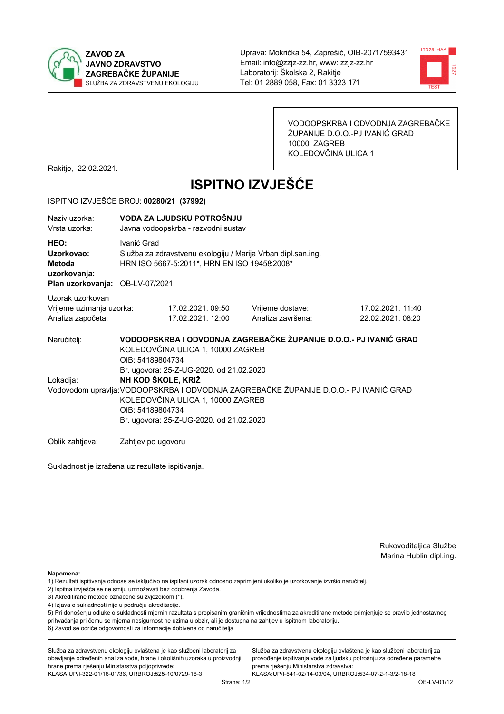



VODOOPSKRBA I ODVODNJA ZAGREBAČKE ŽUPANIJE D.O.O.-PJ IVANIĆ GRAD 10000 ZAGREB KOLEDOVČINA ULICA 1

Rakitje, 22.02.2021.

# **ISPITNO IZVJEŠĆE**

#### ISPITNO IZVJEŠĆE BROJ: 00280/21 (37992)

| Naziy uzorka:<br>Vrsta uzorka:                                                  |                                        | VODA ZA LJUDSKU POTROŠNJU<br>Javna vodoopskrba - razvodni sustav                                             |                                                                                       |                                       |  |  |
|---------------------------------------------------------------------------------|----------------------------------------|--------------------------------------------------------------------------------------------------------------|---------------------------------------------------------------------------------------|---------------------------------------|--|--|
| HEO:<br>Uzorkovao:<br>Metoda<br>uzorkovanja:<br>Plan uzorkovanja: OB-LV-07/2021 | Ivanić Grad                            | Služba za zdravstvenu ekologiju / Marija Vrban dipl.san.ing.<br>HRN ISO 5667-5:2011*, HRN EN ISO 19458:2008* |                                                                                       |                                       |  |  |
| Uzorak uzorkovan<br>Vrijeme uzimanja uzorka:<br>Analiza započeta:               |                                        | 17.02.2021.09:50<br>17.02.2021. 12:00                                                                        | Vrijeme dostave:<br>Analiza završena:                                                 | 17.02.2021. 11:40<br>22.02.2021.08:20 |  |  |
| Naručiteli:                                                                     | OIB: 54189804734                       | KOLEDOVČINA ULICA 1, 10000 ZAGREB<br>Br. ugovora: 25-Z-UG-2020. od 21.02.2020                                | VODOOPSKRBA I ODVODNJA ZAGREBAČKE ŽUPANIJE D.O.O.- PJ IVANIĆ GRAD                     |                                       |  |  |
| Lokacija:                                                                       | NH KOD ŠKOLE, KRIŽ<br>OIB: 54189804734 | KOLEDOVČINA ULICA 1, 10000 ZAGREB<br>Br. ugovora: 25-Z-UG-2020. od 21.02.2020                                | Vodovodom upravlja: VODOOPSKRBA I ODVODNJA ZAGREBAČKE ŽUPANIJE D.O.O.- PJ IVANIĆ GRAD |                                       |  |  |
| Oblik zahtieva:                                                                 | Zahtjev po ugovoru                     |                                                                                                              |                                                                                       |                                       |  |  |

Sukladnost je izražena uz rezultate ispitivanja.

Rukovoditeljica Službe Marina Hublin dipl.ing.

Napomena:

- 1) Rezultati ispitivanja odnose se isključivo na ispitani uzorak odnosno zaprimljeni ukoliko je uzorkovanje izvršio naručiteli.
- 2) Ispitna izvješća se ne smiju umnožavati bez odobrenja Zavoda.
- 3) Akreditirane metode označene su zvjezdicom (\*).
- 4) Izjava o sukladnosti nije u području akreditacije.

5) Pri donošenju odluke o sukladnosti mjernih razultata s propisanim graničnim vrijednostima za akreditirane metode primjenjuje se pravilo jednostavnog prihvaćanja pri čemu se mjerna nesigurnost ne uzima u obzir, ali je dostupna na zahtjev u ispitnom laboratoriju.

6) Zavod se odriče odgovornosti za informacije dobivene od naručitelja

Služba za zdravstvenu ekologiju ovlaštena je kao službeni laboratorij za obavljanje određenih analiza vode, hrane i okolišnih uzoraka u proizvodnji hrane prema rješenju Ministarstva poljoprivrede:

KLASA.UP/I-322-01/18-01/36, URBROJ.525-10/0729-18-3

Služba za zdravstvenu ekologiju ovlaštena je kao službeni laboratorij za provođenje ispitivanja vode za ljudsku potrošnju za određene parametre prema riešenju Ministarstva zdravstva: